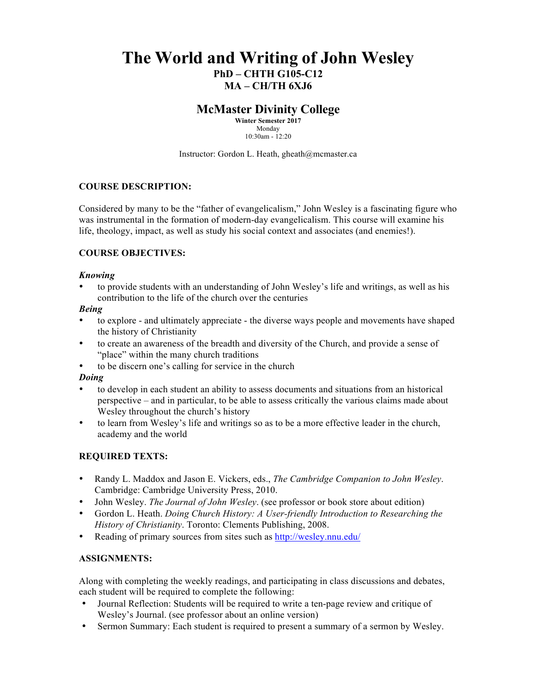# **The World and Writing of John Wesley PhD – CHTH G105-C12 MA – CH/TH 6XJ6**

## **McMaster Divinity College**

**Winter Semester 2017** Monday 10:30am - 12:20

Instructor: Gordon L. Heath, gheath@mcmaster.ca

#### **COURSE DESCRIPTION:**

Considered by many to be the "father of evangelicalism," John Wesley is a fascinating figure who was instrumental in the formation of modern-day evangelicalism. This course will examine his life, theology, impact, as well as study his social context and associates (and enemies!).

#### **COURSE OBJECTIVES:**

#### *Knowing*

• to provide students with an understanding of John Wesley's life and writings, as well as his contribution to the life of the church over the centuries

#### *Being*

- to explore and ultimately appreciate the diverse ways people and movements have shaped the history of Christianity
- to create an awareness of the breadth and diversity of the Church, and provide a sense of "place" within the many church traditions
- to be discern one's calling for service in the church

#### *Doing*

- to develop in each student an ability to assess documents and situations from an historical perspective – and in particular, to be able to assess critically the various claims made about Wesley throughout the church's history
- to learn from Wesley's life and writings so as to be a more effective leader in the church, academy and the world

#### **REQUIRED TEXTS:**

- Randy L. Maddox and Jason E. Vickers, eds., *The Cambridge Companion to John Wesley*. Cambridge: Cambridge University Press, 2010.
- John Wesley. *The Journal of John Wesley*. (see professor or book store about edition)
- Gordon L. Heath. *Doing Church History: A User-friendly Introduction to Researching the History of Christianity*. Toronto: Clements Publishing, 2008.
- Reading of primary sources from sites such as http://wesley.nnu.edu/

#### **ASSIGNMENTS:**

Along with completing the weekly readings, and participating in class discussions and debates, each student will be required to complete the following:

- Journal Reflection: Students will be required to write a ten-page review and critique of Wesley's Journal. (see professor about an online version)
- Sermon Summary: Each student is required to present a summary of a sermon by Wesley.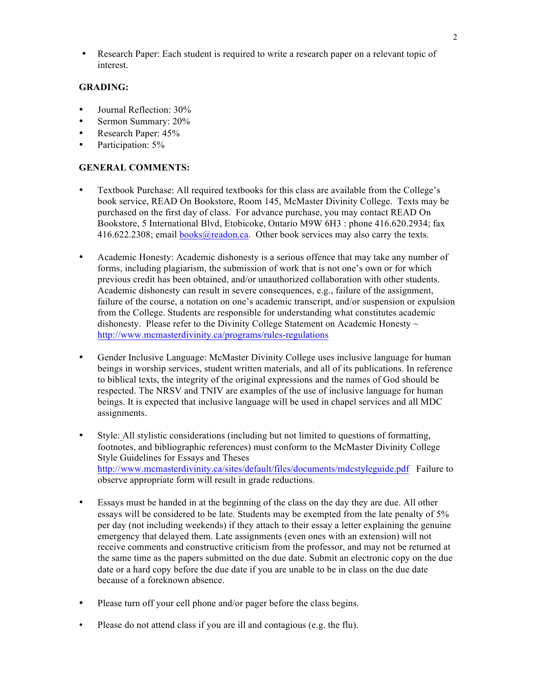• Research Paper: Each student is required to write a research paper on a relevant topic of interest.

#### **GRADING:**

- Journal Reflection: 30%
- Sermon Summary: 20%
- Research Paper:  $45%$
- Participation: 5%

#### **GENERAL COMMENTS:**

- Textbook Purchase: All required textbooks for this class are available from the College's book service, READ On Bookstore, Room 145, McMaster Divinity College. Texts may be purchased on the first day of class. For advance purchase, you may contact READ On Bookstore, 5 International Blvd, Etobicoke, Ontario M9W 6H3 : phone 416.620.2934; fax  $416.622.2308$ ; email books@readon.ca. Other book services may also carry the texts.
- Academic Honesty: Academic dishonesty is a serious offence that may take any number of forms, including plagiarism, the submission of work that is not one's own or for which previous credit has been obtained, and/or unauthorized collaboration with other students. Academic dishonesty can result in severe consequences, e.g., failure of the assignment, failure of the course, a notation on one's academic transcript, and/or suspension or expulsion from the College. Students are responsible for understanding what constitutes academic dishonesty. Please refer to the Divinity College Statement on Academic Honesty  $\sim$ http://www.mcmasterdivinity.ca/programs/rules-regulations
- Gender Inclusive Language: McMaster Divinity College uses inclusive language for human beings in worship services, student written materials, and all of its publications. In reference to biblical texts, the integrity of the original expressions and the names of God should be respected. The NRSV and TNIV are examples of the use of inclusive language for human beings. It is expected that inclusive language will be used in chapel services and all MDC assignments.
- Style: All stylistic considerations (including but not limited to questions of formatting, footnotes, and bibliographic references) must conform to the McMaster Divinity College Style Guidelines for Essays and Theses http://www.mcmasterdivinity.ca/sites/default/files/documents/mdcstyleguide.pdf Failure to observe appropriate form will result in grade reductions.
- Essays must be handed in at the beginning of the class on the day they are due. All other essays will be considered to be late. Students may be exempted from the late penalty of 5% per day (not including weekends) if they attach to their essay a letter explaining the genuine emergency that delayed them. Late assignments (even ones with an extension) will not receive comments and constructive criticism from the professor, and may not be returned at the same time as the papers submitted on the due date. Submit an electronic copy on the due date or a hard copy before the due date if you are unable to be in class on the due date because of a foreknown absence.
- Please turn off your cell phone and/or pager before the class begins.
- Please do not attend class if you are ill and contagious (e.g. the flu).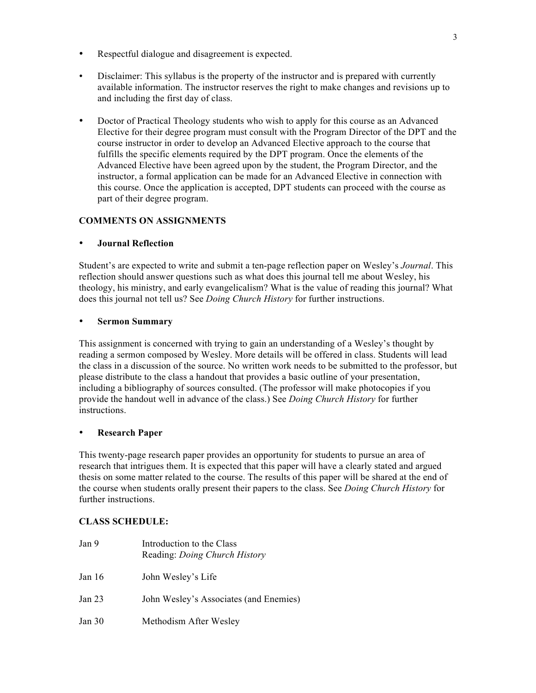- Respectful dialogue and disagreement is expected.
- Disclaimer: This syllabus is the property of the instructor and is prepared with currently available information. The instructor reserves the right to make changes and revisions up to and including the first day of class.
- Doctor of Practical Theology students who wish to apply for this course as an Advanced Elective for their degree program must consult with the Program Director of the DPT and the course instructor in order to develop an Advanced Elective approach to the course that fulfills the specific elements required by the DPT program. Once the elements of the Advanced Elective have been agreed upon by the student, the Program Director, and the instructor, a formal application can be made for an Advanced Elective in connection with this course. Once the application is accepted, DPT students can proceed with the course as part of their degree program.

## **COMMENTS ON ASSIGNMENTS**

## • **Journal Reflection**

Student's are expected to write and submit a ten-page reflection paper on Wesley's *Journal*. This reflection should answer questions such as what does this journal tell me about Wesley, his theology, his ministry, and early evangelicalism? What is the value of reading this journal? What does this journal not tell us? See *Doing Church History* for further instructions.

### • **Sermon Summary**

This assignment is concerned with trying to gain an understanding of a Wesley's thought by reading a sermon composed by Wesley. More details will be offered in class. Students will lead the class in a discussion of the source. No written work needs to be submitted to the professor, but please distribute to the class a handout that provides a basic outline of your presentation, including a bibliography of sources consulted. (The professor will make photocopies if you provide the handout well in advance of the class.) See *Doing Church History* for further instructions.

## • **Research Paper**

This twenty-page research paper provides an opportunity for students to pursue an area of research that intrigues them. It is expected that this paper will have a clearly stated and argued thesis on some matter related to the course. The results of this paper will be shared at the end of the course when students orally present their papers to the class. See *Doing Church History* for further instructions.

## **CLASS SCHEDULE:**

| Jan 9             | Introduction to the Class<br>Reading: Doing Church History |
|-------------------|------------------------------------------------------------|
| Jan 16            | John Wesley's Life                                         |
| Jan <sub>23</sub> | John Wesley's Associates (and Enemies)                     |
| Jan $30$          | Methodism After Wesley                                     |